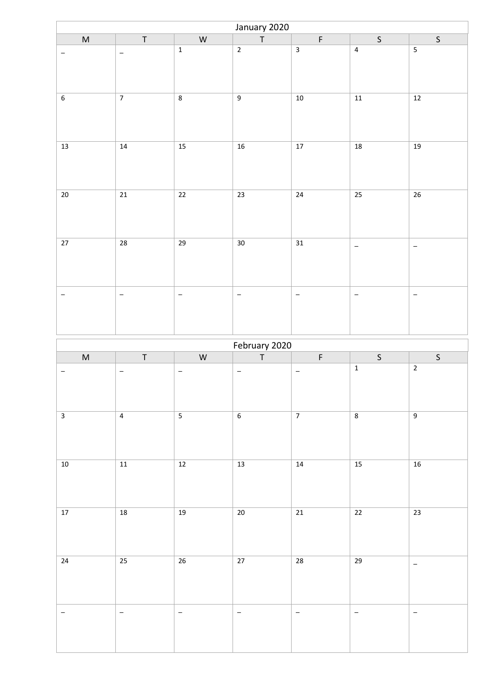| January 2020     |                   |                          |                   |                          |                          |                          |  |
|------------------|-------------------|--------------------------|-------------------|--------------------------|--------------------------|--------------------------|--|
| $\sf M$          | $\top$            | ${\sf W}$                | $\top$            | $\mathsf F$              | $\mathsf S$              | $\mathsf{S}$             |  |
| -                | $\qquad \qquad -$ | $\mathbf 1$              | $\overline{2}$    | $\overline{3}$           | $\overline{4}$           | $\overline{\mathbf{5}}$  |  |
| $\boldsymbol{6}$ | $\overline{7}$    | $\overline{\bf 8}$       | $\overline{9}$    | $10\,$                   | $11\,$                   | $12\,$                   |  |
| $13\,$           | 14                | 15                       | $16\,$            | $17$                     | 18                       | 19                       |  |
| $\overline{20}$  | $\overline{21}$   | $\overline{22}$          | $\overline{23}$   | 24                       | $\overline{25}$          | $\overline{26}$          |  |
| $27\,$           | 28                | 29                       | $30\,$            | $31\,$                   | $\overline{\phantom{a}}$ | $\overline{\phantom{a}}$ |  |
| -                | $\qquad \qquad -$ | $\overline{\phantom{m}}$ | $\qquad \qquad -$ | $\overline{\phantom{a}}$ | -                        | $\overline{\phantom{a}}$ |  |
|                  |                   |                          | February 2020     |                          |                          |                          |  |
| $\sf M$          | $\top$            | ${\sf W}$                | $\mathsf T$       | $\mathsf F$              | $\mathsf{S}$             | $\mathsf S$              |  |
| -                | $\qquad \qquad -$ | $\overline{\phantom{m}}$ | $\qquad \qquad -$ | $\qquad \qquad -$        | $\mathbf 1$              | $\overline{2}$           |  |
| $\overline{3}$   |                   |                          |                   |                          |                          |                          |  |
|                  | $\overline{4}$    | $\overline{5}$           | $\overline{6}$    | $\overline{7}$           | $\bf 8$                  | $\overline{9}$           |  |
| $10\,$           | $11\,$            | $12\,$                   | $\overline{13}$   | $14\,$                   | $\overline{15}$          | $16$                     |  |
| $17\,$           | $18\,$            | $19\,$                   | $20\degree$       | $21\,$                   | 22                       | $\overline{23}$          |  |
| $24\,$           | $25\,$            | 26                       | 27                | ${\bf 28}$               | 29                       | $\equiv$                 |  |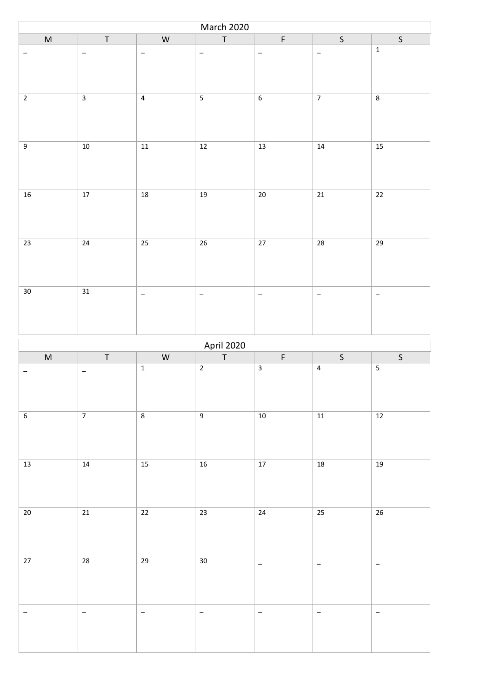| March 2020               |                         |                          |                                  |                          |                          |                          |  |
|--------------------------|-------------------------|--------------------------|----------------------------------|--------------------------|--------------------------|--------------------------|--|
| $\sf M$                  | $\top$                  | ${\sf W}$                | $\top$                           | $\mathsf F$              | $\mathsf S$              | $\mathsf S$              |  |
| —                        | $\qquad \qquad -$       | $\qquad \qquad -$        | $\overline{\phantom{a}}$         | $\overline{\phantom{a}}$ | $\qquad \qquad -$        | $\mathbf 1$              |  |
| $\overline{2}$           | $\overline{\mathbf{3}}$ | $\sqrt{4}$               | $\overline{\mathbf{5}}$          | $\overline{\mathbf{6}}$  | $\overline{7}$           | $\overline{\textbf{8}}$  |  |
| $\boldsymbol{9}$         | $10\,$                  | $11\,$                   | $12\,$                           | 13                       | 14                       | $\overline{15}$          |  |
| $\overline{\mathbf{16}}$ | $\overline{17}$         | $\overline{18}$          | 19                               | $\overline{20}$          | $\overline{21}$          | $\overline{22}$          |  |
| $23\,$                   | $24\,$                  | 25                       | $\overline{26}$                  | 27                       | 28                       | 29                       |  |
| $30\,$                   | $\overline{31}$         | $\overline{\phantom{m}}$ | $\overline{\phantom{m}}$         | $\overline{\phantom{a}}$ | $\qquad \qquad -$        | $\overline{\phantom{a}}$ |  |
|                          |                         |                          |                                  |                          |                          |                          |  |
|                          |                         |                          |                                  |                          |                          |                          |  |
| $\sf M$                  | $\top$                  | ${\sf W}$                | <b>April 2020</b><br>$\mathsf T$ | F                        | $\sf S$                  | $\mathsf S$              |  |
| $\qquad \qquad -$        | $\qquad \qquad -$       | $\mathbf 1$              | $\mathbf 2$                      | $\overline{\mathbf{3}}$  | $\pmb{4}$                | $\overline{\mathbf{5}}$  |  |
| $6\overline{6}$          | $\overline{7}$          | $\overline{8}$           | $\overline{9}$                   | $10\,$                   | $\overline{11}$          | $\overline{12}$          |  |
| $\overline{13}$          | $14$                    | $\overline{15}$          | $16$                             | $\overline{17}$          | $18\,$                   | 19                       |  |
| $20\,$                   | $21\,$                  | $\overline{22}$          | $23\,$                           | $24\,$                   | 25                       | $26\,$                   |  |
| $27\,$                   | 28                      | 29                       | 30 <sup>°</sup>                  | $\overline{\phantom{m}}$ | $\overline{\phantom{a}}$ | $\equiv$                 |  |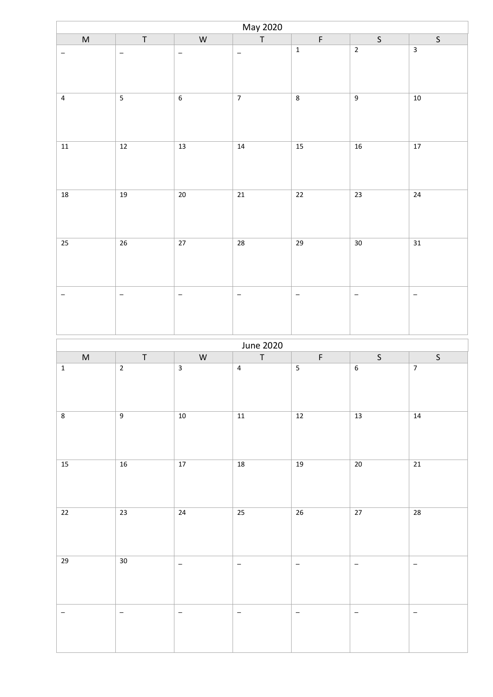| May 2020                |                          |                          |                          |                          |                          |                          |  |
|-------------------------|--------------------------|--------------------------|--------------------------|--------------------------|--------------------------|--------------------------|--|
| $\sf M$                 | $\top$                   | ${\sf W}$                | $\top$                   | $\mathsf F$              | $\mathsf{S}$             | $\mathsf S$              |  |
| -                       | $\overline{\phantom{0}}$ | $\qquad \qquad -$        | $\overline{\phantom{a}}$ | $\mathbf 1$              | $\overline{2}$           | $\overline{\mathbf{3}}$  |  |
| $\pmb{4}$               |                          | $\boldsymbol{6}$         | $\overline{7}$           | $\overline{\bf 8}$       | $\overline{9}$           | $10\,$                   |  |
| ${\bf 11}$              | $12\,$                   | 13                       | 14                       | $15\,$                   | 16                       | $17\,$                   |  |
| $\overline{\bf 18}$     | $\overline{19}$          | $\overline{20}$          | $\overline{21}$          | $\overline{22}$          | $\overline{23}$          | $\overline{24}$          |  |
| 25                      | 26                       | 27                       | ${\bf 28}$               | 29                       | 30                       | 31                       |  |
| -                       | $\qquad \qquad -$        | $\qquad \qquad -$        | $\qquad \qquad -$        | $\overline{\phantom{m}}$ | $\qquad \qquad -$        | $\overline{\phantom{a}}$ |  |
|                         |                          |                          | June 2020                |                          |                          |                          |  |
| $\sf M$                 | $\sf T$                  | ${\sf W}$                | $\top$                   | $\mathsf F$              | $\mathsf S$              | $\mathsf S$              |  |
| $\mathbf 1$             | $\overline{2}$           | $\mathbf{3}$             | $\overline{4}$           | $\sqrt{5}$               | $\boldsymbol{6}$         | $\overline{7}$           |  |
| $\overline{\textbf{8}}$ | $\overline{9}$           | $10$                     | $11\,$                   | $12$                     | $\overline{13}$          | $14$                     |  |
| $15\,$                  | $16\,$                   | $17\,$                   | $\overline{\bf 18}$      | $19\,$                   | $\overline{20}$          | $\overline{21}$          |  |
| $22\,$                  | $23\,$                   | $24\,$                   | 25                       | $26\,$                   | $27\,$                   | 28                       |  |
| 29                      | $30\,$                   | $\overline{\phantom{a}}$ | $\overline{\phantom{a}}$ | $\overline{\phantom{m}}$ | $\overline{\phantom{a}}$ | $\overline{\phantom{a}}$ |  |
| -                       | $\overline{\phantom{a}}$ | $\overline{\phantom{a}}$ | $\qquad \qquad -$        | $\overline{\phantom{m}}$ | $\qquad \qquad -$        | $\equiv$                 |  |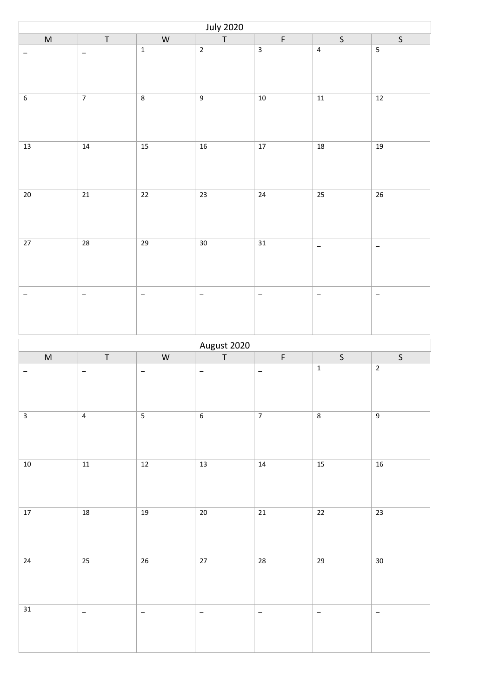| <b>July 2020</b>        |                          |                         |                             |                          |                          |                          |  |
|-------------------------|--------------------------|-------------------------|-----------------------------|--------------------------|--------------------------|--------------------------|--|
| ${\sf M}$               | $\sf T$                  | ${\sf W}$               | $\overline{\mathsf{T}}$     | $\mathsf F$              | $\mathsf S$              | $\sf S$                  |  |
| —                       | $\qquad \qquad -$        | $\mathbf 1$             | $\overline{2}$              | $\overline{\mathbf{3}}$  | $\overline{\mathbf{4}}$  | $\overline{\mathbf{5}}$  |  |
| $\overline{\mathbf{6}}$ | $\overline{7}$           | $\overline{\bf 8}$      | $\overline{9}$              | $10\,$                   | $11\,$                   | $\overline{12}$          |  |
| $13\,$                  | 14                       | $\overline{15}$         | $16$                        | $\overline{17}$          | $\overline{\mathbf{18}}$ | $\overline{19}$          |  |
| $\overline{20}$         | $\overline{21}$          | $\overline{22}$         | $\overline{23}$             | $\overline{24}$          | $\overline{25}$          | $\overline{26}$          |  |
| $27\,$                  | 28                       | 29                      | $30\,$                      | 31                       | $\overline{\phantom{a}}$ | $\qquad \qquad -$        |  |
| $\qquad \qquad -$       | $\overline{\phantom{a}}$ | $\qquad \qquad -$       | $\overline{\phantom{a}}$    | $\equiv$                 | $\qquad \qquad -$        | $\overline{\phantom{a}}$ |  |
|                         |                          |                         |                             |                          |                          |                          |  |
|                         |                          |                         |                             |                          |                          |                          |  |
| $\sf M$                 | $\top$                   | ${\sf W}$               | August 2020<br>$\mathsf{T}$ | $\mathsf F$              | $\mathsf S$              | $\mathsf S$              |  |
| $\qquad \qquad -$       | $\qquad \qquad -$        | $\qquad \qquad -$       | $\qquad \qquad -$           | $\overline{\phantom{a}}$ | $\mathbf 1$              | $\sqrt{2}$               |  |
| $\overline{3}$          | $\overline{4}$           | $\overline{\mathbf{5}}$ | $6\overline{}$              | $\overline{7}$           | $\overline{8}$           | $\overline{9}$           |  |
| $10$                    | $\overline{11}$          | $\overline{12}$         | $\overline{13}$             | $\overline{14}$          | $\overline{15}$          | $16$                     |  |
| $17\,$                  | $18\,$                   | $19\,$                  | $20\,$                      | $21\,$                   | 22                       | $\overline{23}$          |  |
| 24                      | $25\overline{)}$         | $26\overline{)}$        | $\overline{27}$             | ${\bf 28}$               | 29                       | $\overline{30}$          |  |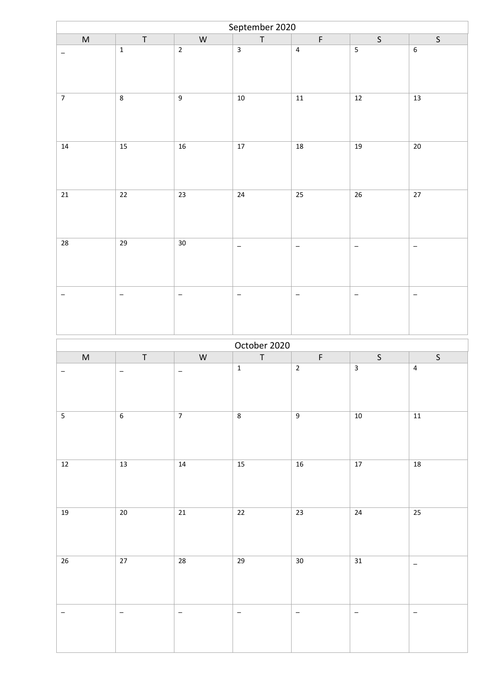| September 2020   |                          |                          |                          |                          |                   |                          |  |
|------------------|--------------------------|--------------------------|--------------------------|--------------------------|-------------------|--------------------------|--|
| $\sf M$          | $\top$                   | ${\sf W}$                | $\top$                   | $\mathsf F$              | S                 | $\mathsf{S}$             |  |
| -                | $\mathbf 1$              | $\overline{2}$           | $\overline{\mathbf{3}}$  | $\overline{4}$           |                   | $\boldsymbol{6}$         |  |
| $\overline{7}$   | $\overline{\bf 8}$       | $\boldsymbol{9}$         | $10\,$                   | $11\,$                   | $12\,$            | $13$                     |  |
| $14\,$           | 15                       | 16                       | $17\,$                   | 18                       | 19                | $20\,$                   |  |
| 21               | $\overline{22}$          | $\overline{23}$          | $\overline{24}$          | 25                       | $\overline{26}$   | $\overline{27}$          |  |
| 28               | 29                       | 30                       | $\qquad \qquad -$        | $\overline{\phantom{a}}$ | $\qquad \qquad -$ | $\overline{\phantom{a}}$ |  |
| -                | $\overline{\phantom{0}}$ | $\overline{\phantom{m}}$ | $\qquad \qquad -$        | $\overline{\phantom{m}}$ | —                 | $\qquad \qquad -$        |  |
|                  |                          |                          | October 2020             |                          |                   |                          |  |
| $\sf M$          | $\top$                   | ${\sf W}$                | $\sf T$                  | $\mathsf F$              | $\mathsf{S}$      | $\mathsf S$              |  |
| -                | $\qquad \qquad -$        | $\overline{\phantom{m}}$ | $\mathbf 1$              | $\overline{2}$           | $\mathbf{3}$      | $\sqrt{4}$               |  |
| $\overline{5}$   | $\overline{6}$           | $\overline{7}$           | $\overline{\textbf{8}}$  | $\overline{9}$           | $10$              | $11\,$                   |  |
| $12\,$           | $\overline{13}$          | $14\,$                   | $\overline{15}$          | $16\,$                   | $\overline{17}$   | $\overline{18}$          |  |
| 19               | $20\,$                   | $21\,$                   | $\overline{22}$          | $23\,$                   | 24                | $\overline{25}$          |  |
| $26\overline{)}$ | $27\,$                   | 28                       | 29                       | $30\,$                   | 31                | $\equiv$                 |  |
| -                | $\overline{\phantom{a}}$ | $\overline{\phantom{m}}$ | $\overline{\phantom{m}}$ | $\overline{\phantom{m}}$ | $\qquad \qquad -$ | $\equiv$                 |  |